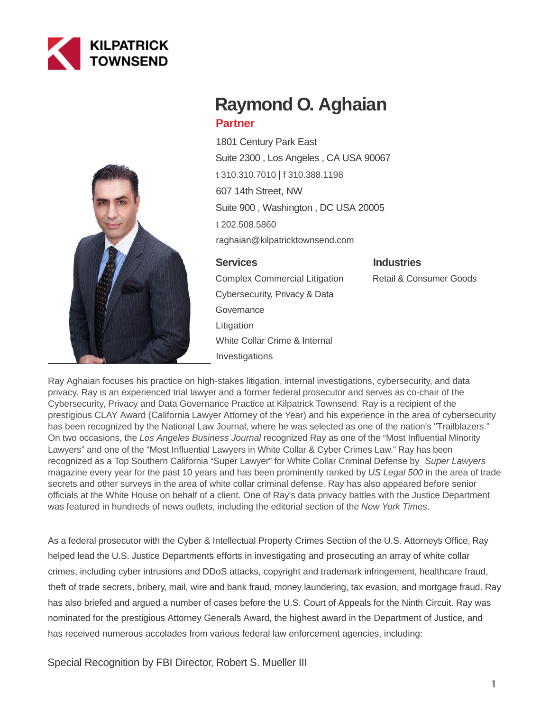



# **Raymond O. Aghaian Partner**

1801 Century Park East Suite 2300 , Los Angeles , CA USA 90067 [t 310.310.7010](tel:310.310.7010) | [f 310.388.1198](fax:310.388.1198) 607 14th Street, NW Suite 900 , Washington , DC USA 20005 [t 202.508.5860](tel:202.508.5860) raghaian@kilpatricktownsend.com

#### **Services**

#### **Industries**

Retail & Consumer Goods

Complex Commercial Litigation Cybersecurity, Privacy & Data **Governance** Litigation White Collar Crime & Internal Investigations

Ray Aghaian focuses his practice on high-stakes litigation, internal investigations, cybersecurity, and data privacy. Ray is an experienced trial lawyer and a former federal prosecutor and serves as co-chair of the Cybersecurity, Privacy and Data Governance Practice at Kilpatrick Townsend. Ray is a recipient of the prestigious CLAY Award (California Lawyer Attorney of the Year) and his experience in the area of cybersecurity has been recognized by the National Law Journal, where he was selected as one of the nation's "Trailblazers." On two occasions, the Los Angeles Business Journal recognized Ray as one of the "Most Influential Minority Lawyers" and one of the "Most Influential Lawyers in White Collar & Cyber Crimes Law." Ray has been recognized as a Top Southern California "Super Lawyer" for White Collar Criminal Defense by Super Lawyers magazine every year for the past 10 years and has been prominently ranked by US Legal 500 in the area of trade secrets and other surveys in the area of white collar criminal defense. Ray has also appeared before senior officials at the White House on behalf of a client. One of Ray's data privacy battles with the Justice Department was featured in hundreds of news outlets, including the editorial section of the New York Times.

As a federal prosecutor with the Cyber & Intellectual Property Crimes Section of the U.S. Attorney's Office, Ray helped lead the U.S. Justice Departments efforts in investigating and prosecuting an array of white collar crimes, including cyber intrusions and DDoS attacks, copyright and trademark infringement, healthcare fraud, theft of trade secrets, bribery, mail, wire and bank fraud, money laundering, tax evasion, and mortgage fraud. Ray has also briefed and argued a number of cases before the U.S. Court of Appeals for the Ninth Circuit. Ray was nominated for the prestigious Attorney General's Award, the highest award in the Department of Justice, and has received numerous accolades from various federal law enforcement agencies, including:

Special Recognition by FBI Director, Robert S. Mueller III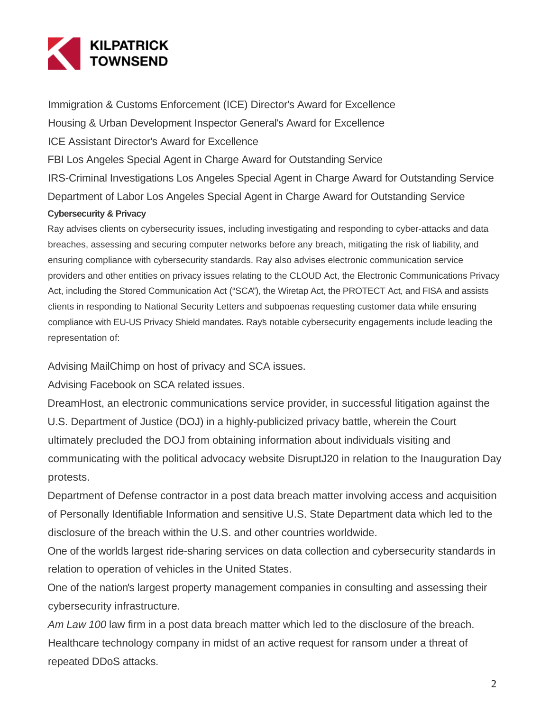

Immigration & Customs Enforcement (ICE) Director's Award for Excellence Housing & Urban Development Inspector General's Award for Excellence ICE Assistant Director's Award for Excellence FBI Los Angeles Special Agent in Charge Award for Outstanding Service IRS-Criminal Investigations Los Angeles Special Agent in Charge Award for Outstanding Service Department of Labor Los Angeles Special Agent in Charge Award for Outstanding Service **Cybersecurity & Privacy**

Ray advises clients on cybersecurity issues, including investigating and responding to cyber-attacks and data breaches, assessing and securing computer networks before any breach, mitigating the risk of liability, and ensuring compliance with cybersecurity standards. Ray also advises electronic communication service providers and other entities on privacy issues relating to the CLOUD Act, the Electronic Communications Privacy Act, including the Stored Communication Act ("SCA"), the Wiretap Act, the PROTECT Act, and FISA and assists clients in responding to National Security Letters and subpoenas requesting customer data while ensuring compliance with EU-US Privacy Shield mandates. Ray's notable cybersecurity engagements include leading the representation of:

Advising MailChimp on host of privacy and SCA issues.

Advising Facebook on SCA related issues.

DreamHost, an electronic communications service provider, in successful litigation against the U.S. Department of Justice (DOJ) in a highly-publicized privacy battle, wherein the Court ultimately precluded the DOJ from obtaining information about individuals visiting and communicating with the political advocacy website DisruptJ20 in relation to the Inauguration Day protests.

Department of Defense contractor in a post data breach matter involving access and acquisition of Personally Identifiable Information and sensitive U.S. State Department data which led to the disclosure of the breach within the U.S. and other countries worldwide.

One of the world's largest ride-sharing services on data collection and cybersecurity standards in relation to operation of vehicles in the United States.

One of the nation's largest property management companies in consulting and assessing their cybersecurity infrastructure.

Am Law 100 law firm in a post data breach matter which led to the disclosure of the breach. Healthcare technology company in midst of an active request for ransom under a threat of repeated DDoS attacks.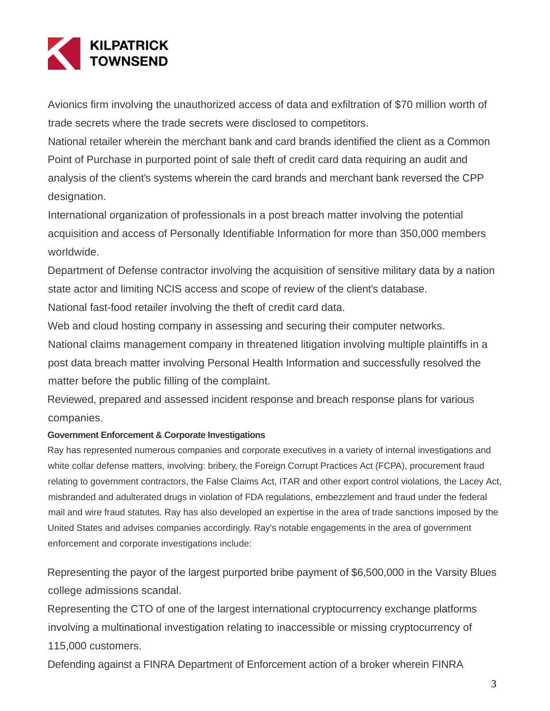

Avionics firm involving the unauthorized access of data and exfiltration of \$70 million worth of trade secrets where the trade secrets were disclosed to competitors.

National retailer wherein the merchant bank and card brands identified the client as a Common Point of Purchase in purported point of sale theft of credit card data requiring an audit and analysis of the client's systems wherein the card brands and merchant bank reversed the CPP designation.

International organization of professionals in a post breach matter involving the potential acquisition and access of Personally Identifiable Information for more than 350,000 members worldwide.

Department of Defense contractor involving the acquisition of sensitive military data by a nation state actor and limiting NCIS access and scope of review of the client's database.

National fast-food retailer involving the theft of credit card data.

Web and cloud hosting company in assessing and securing their computer networks.

National claims management company in threatened litigation involving multiple plaintiffs in a post data breach matter involving Personal Health Information and successfully resolved the matter before the public filling of the complaint.

Reviewed, prepared and assessed incident response and breach response plans for various companies.

#### **Government Enforcement & Corporate Investigations**

Ray has represented numerous companies and corporate executives in a variety of internal investigations and white collar defense matters, involving: bribery, the Foreign Corrupt Practices Act (FCPA), procurement fraud relating to government contractors, the False Claims Act, ITAR and other export control violations, the Lacey Act, misbranded and adulterated drugs in violation of FDA regulations, embezzlement and fraud under the federal mail and wire fraud statutes. Ray has also developed an expertise in the area of trade sanctions imposed by the United States and advises companies accordingly. Ray's notable engagements in the area of government enforcement and corporate investigations include:

Representing the payor of the largest purported bribe payment of \$6,500,000 in the Varsity Blues college admissions scandal.

Representing the CTO of one of the largest international cryptocurrency exchange platforms involving a multinational investigation relating to inaccessible or missing cryptocurrency of 115,000 customers.

Defending against a FINRA Department of Enforcement action of a broker wherein FINRA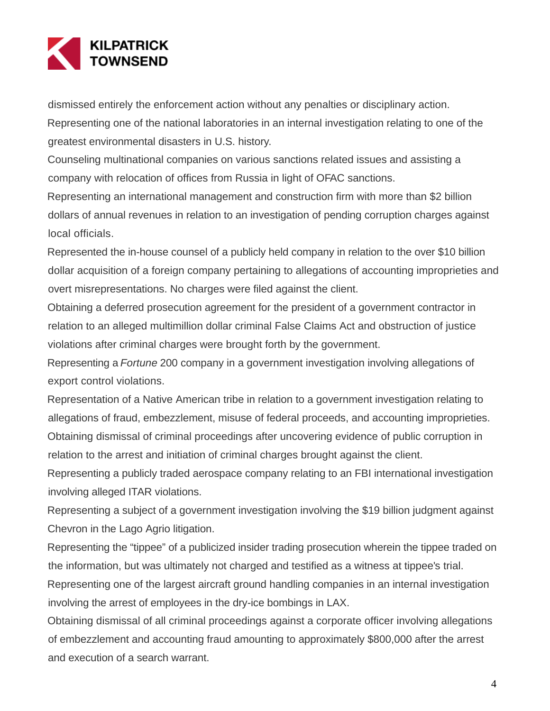

dismissed entirely the enforcement action without any penalties or disciplinary action.

Representing one of the national laboratories in an internal investigation relating to one of the greatest environmental disasters in U.S. history.

Counseling multinational companies on various sanctions related issues and assisting a company with relocation of offices from Russia in light of OFAC sanctions.

Representing an international management and construction firm with more than \$2 billion dollars of annual revenues in relation to an investigation of pending corruption charges against local officials.

Represented the in-house counsel of a publicly held company in relation to the over \$10 billion dollar acquisition of a foreign company pertaining to allegations of accounting improprieties and overt misrepresentations. No charges were filed against the client.

Obtaining a deferred prosecution agreement for the president of a government contractor in relation to an alleged multimillion dollar criminal False Claims Act and obstruction of justice violations after criminal charges were brought forth by the government.

Representing a Fortune 200 company in a government investigation involving allegations of export control violations.

Representation of a Native American tribe in relation to a government investigation relating to allegations of fraud, embezzlement, misuse of federal proceeds, and accounting improprieties. Obtaining dismissal of criminal proceedings after uncovering evidence of public corruption in relation to the arrest and initiation of criminal charges brought against the client.

Representing a publicly traded aerospace company relating to an FBI international investigation involving alleged ITAR violations.

Representing a subject of a government investigation involving the \$19 billion judgment against Chevron in the Lago Agrio litigation.

Representing the "tippee" of a publicized insider trading prosecution wherein the tippee traded on the information, but was ultimately not charged and testified as a witness at tippee's trial.

Representing one of the largest aircraft ground handling companies in an internal investigation involving the arrest of employees in the dry-ice bombings in LAX.

Obtaining dismissal of all criminal proceedings against a corporate officer involving allegations of embezzlement and accounting fraud amounting to approximately \$800,000 after the arrest and execution of a search warrant.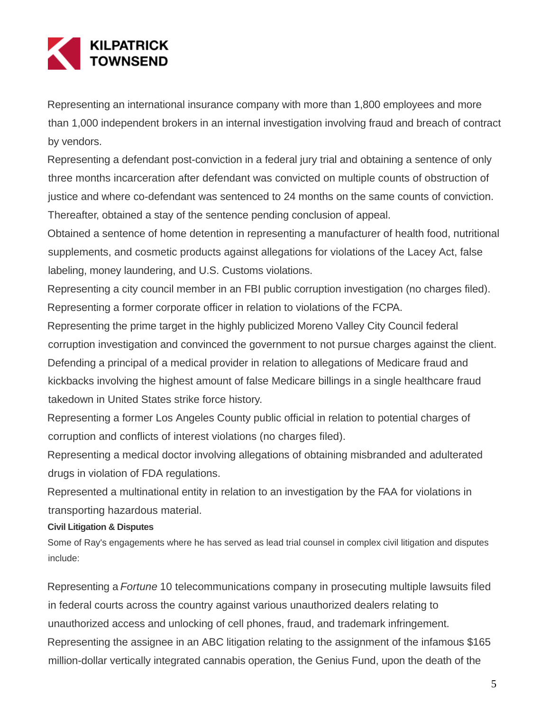

Representing an international insurance company with more than 1,800 employees and more than 1,000 independent brokers in an internal investigation involving fraud and breach of contract by vendors.

Representing a defendant post-conviction in a federal jury trial and obtaining a sentence of only three months incarceration after defendant was convicted on multiple counts of obstruction of justice and where co-defendant was sentenced to 24 months on the same counts of conviction. Thereafter, obtained a stay of the sentence pending conclusion of appeal.

Obtained a sentence of home detention in representing a manufacturer of health food, nutritional supplements, and cosmetic products against allegations for violations of the Lacey Act, false labeling, money laundering, and U.S. Customs violations.

Representing a city council member in an FBI public corruption investigation (no charges filed). Representing a former corporate officer in relation to violations of the FCPA.

Representing the prime target in the highly publicized Moreno Valley City Council federal corruption investigation and convinced the government to not pursue charges against the client. Defending a principal of a medical provider in relation to allegations of Medicare fraud and kickbacks involving the highest amount of false Medicare billings in a single healthcare fraud takedown in United States strike force history.

Representing a former Los Angeles County public official in relation to potential charges of corruption and conflicts of interest violations (no charges filed).

Representing a medical doctor involving allegations of obtaining misbranded and adulterated drugs in violation of FDA regulations.

Represented a multinational entity in relation to an investigation by the FAA for violations in transporting hazardous material.

# **Civil Litigation & Disputes**

Some of Ray's engagements where he has served as lead trial counsel in complex civil litigation and disputes include:

Representing a Fortune 10 telecommunications company in prosecuting multiple lawsuits filed in federal courts across the country against various unauthorized dealers relating to unauthorized access and unlocking of cell phones, fraud, and trademark infringement. Representing the assignee in an ABC litigation relating to the assignment of the infamous \$165 million-dollar vertically integrated cannabis operation, the Genius Fund, upon the death of the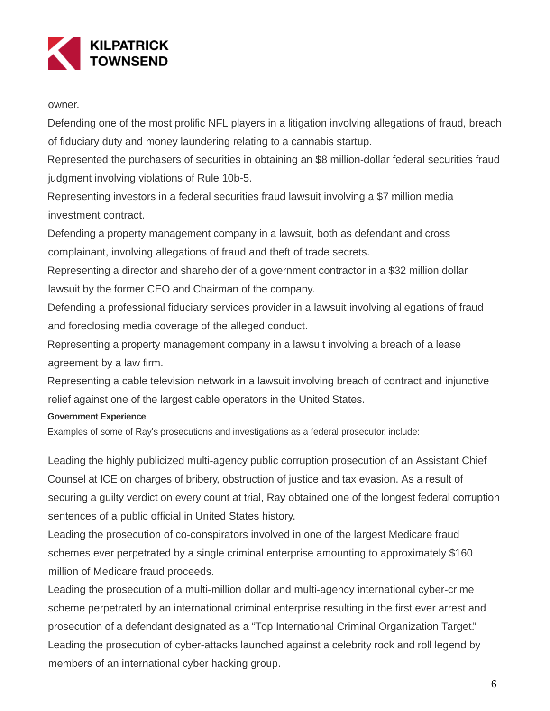

owner.

Defending one of the most prolific NFL players in a litigation involving allegations of fraud, breach of fiduciary duty and money laundering relating to a cannabis startup.

Represented the purchasers of securities in obtaining an \$8 million-dollar federal securities fraud judgment involving violations of Rule 10b-5.

Representing investors in a federal securities fraud lawsuit involving a \$7 million media investment contract.

Defending a property management company in a lawsuit, both as defendant and cross complainant, involving allegations of fraud and theft of trade secrets.

Representing a director and shareholder of a government contractor in a \$32 million dollar lawsuit by the former CEO and Chairman of the company.

Defending a professional fiduciary services provider in a lawsuit involving allegations of fraud and foreclosing media coverage of the alleged conduct.

Representing a property management company in a lawsuit involving a breach of a lease agreement by a law firm.

Representing a cable television network in a lawsuit involving breach of contract and injunctive relief against one of the largest cable operators in the United States.

# **Government Experience**

Examples of some of Ray's prosecutions and investigations as a federal prosecutor, include:

Leading the highly publicized multi-agency public corruption prosecution of an Assistant Chief Counsel at ICE on charges of bribery, obstruction of justice and tax evasion. As a result of securing a guilty verdict on every count at trial, Ray obtained one of the longest federal corruption sentences of a public official in United States history.

Leading the prosecution of co-conspirators involved in one of the largest Medicare fraud schemes ever perpetrated by a single criminal enterprise amounting to approximately \$160 million of Medicare fraud proceeds.

Leading the prosecution of a multi-million dollar and multi-agency international cyber-crime scheme perpetrated by an international criminal enterprise resulting in the first ever arrest and prosecution of a defendant designated as a "Top International Criminal Organization Target." Leading the prosecution of cyber-attacks launched against a celebrity rock and roll legend by members of an international cyber hacking group.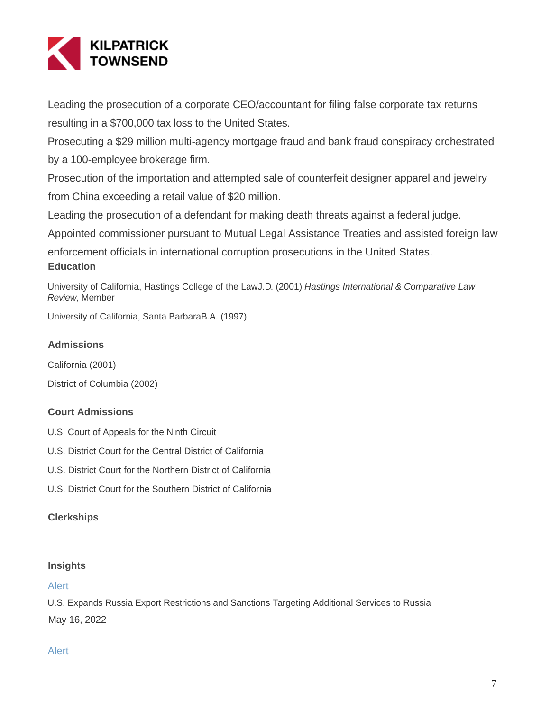

Leading the prosecution of a corporate CEO/accountant for filing false corporate tax returns resulting in a \$700,000 tax loss to the United States.

Prosecuting a \$29 million multi-agency mortgage fraud and bank fraud conspiracy orchestrated by a 100-employee brokerage firm.

Prosecution of the importation and attempted sale of counterfeit designer apparel and jewelry from China exceeding a retail value of \$20 million.

Leading the prosecution of a defendant for making death threats against a federal judge.

Appointed commissioner pursuant to Mutual Legal Assistance Treaties and assisted foreign law

enforcement officials in international corruption prosecutions in the United States. **Education**

University of California, Hastings College of the LawJ.D. (2001) Hastings International & Comparative Law Review, Member

University of California, Santa BarbaraB.A. (1997)

### **Admissions**

California (2001)

District of Columbia (2002)

# **Court Admissions**

U.S. Court of Appeals for the Ninth Circuit

- U.S. District Court for the Central District of California
- U.S. District Court for the Northern District of California
- U.S. District Court for the Southern District of California

# **Clerkships**

-

# **Insights**

#### Alert

U.S. Expands Russia Export Restrictions and Sanctions Targeting Additional Services to Russia May 16, 2022

# Alert